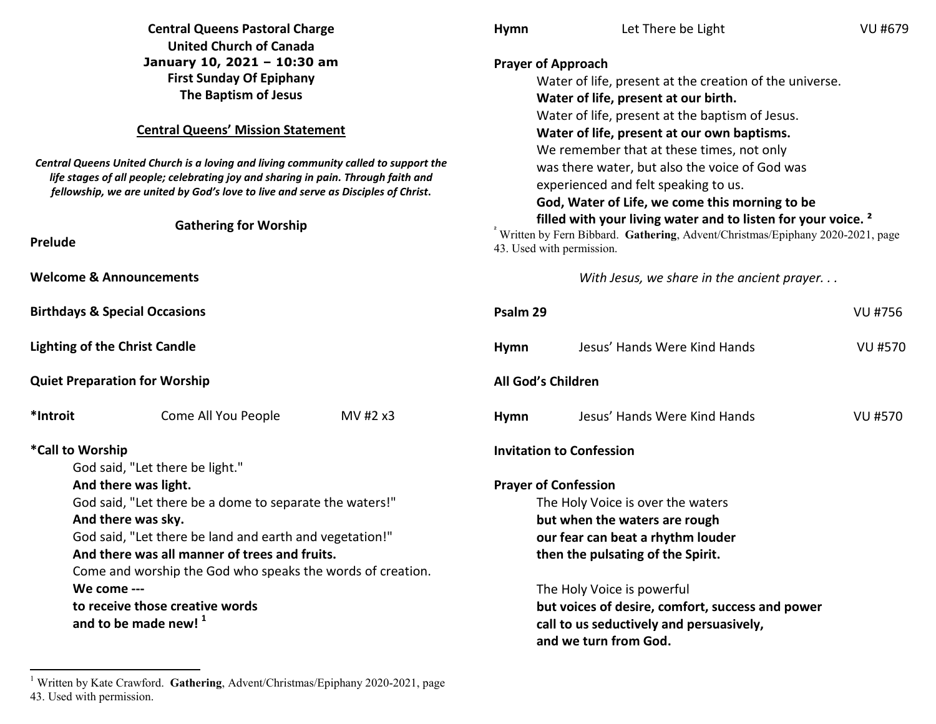|                                                                                                                                                                                                                                                                                                                                                                                                          | <b>Central Queens Pastoral Charge</b>                                                                                                                                                                                                                                                                                                                                                                                                                                 |          | <b>Hymn</b>                                                                                                                                                                                                                                                                                                                        | Let There be Light                                                                                                                                                                                                                                                                                                                                                                                                                                                                                                                                                                   | VU #679        |
|----------------------------------------------------------------------------------------------------------------------------------------------------------------------------------------------------------------------------------------------------------------------------------------------------------------------------------------------------------------------------------------------------------|-----------------------------------------------------------------------------------------------------------------------------------------------------------------------------------------------------------------------------------------------------------------------------------------------------------------------------------------------------------------------------------------------------------------------------------------------------------------------|----------|------------------------------------------------------------------------------------------------------------------------------------------------------------------------------------------------------------------------------------------------------------------------------------------------------------------------------------|--------------------------------------------------------------------------------------------------------------------------------------------------------------------------------------------------------------------------------------------------------------------------------------------------------------------------------------------------------------------------------------------------------------------------------------------------------------------------------------------------------------------------------------------------------------------------------------|----------------|
| Prelude                                                                                                                                                                                                                                                                                                                                                                                                  | <b>United Church of Canada</b><br>January 10, 2021 - 10:30 am<br><b>First Sunday Of Epiphany</b><br>The Baptism of Jesus<br><b>Central Queens' Mission Statement</b><br>Central Queens United Church is a loving and living community called to support the<br>life stages of all people; celebrating joy and sharing in pain. Through faith and<br>fellowship, we are united by God's love to live and serve as Disciples of Christ.<br><b>Gathering for Worship</b> |          | <b>Prayer of Approach</b>                                                                                                                                                                                                                                                                                                          | Water of life, present at the creation of the universe.<br>Water of life, present at our birth.<br>Water of life, present at the baptism of Jesus.<br>Water of life, present at our own baptisms.<br>We remember that at these times, not only<br>was there water, but also the voice of God was<br>experienced and felt speaking to us.<br>God, Water of Life, we come this morning to be<br>filled with your living water and to listen for your voice. <sup>2</sup><br>Written by Fern Bibbard. Gathering, Advent/Christmas/Epiphany 2020-2021, page<br>43. Used with permission. |                |
| <b>Welcome &amp; Announcements</b>                                                                                                                                                                                                                                                                                                                                                                       |                                                                                                                                                                                                                                                                                                                                                                                                                                                                       |          |                                                                                                                                                                                                                                                                                                                                    | With Jesus, we share in the ancient prayer                                                                                                                                                                                                                                                                                                                                                                                                                                                                                                                                           |                |
| <b>Birthdays &amp; Special Occasions</b>                                                                                                                                                                                                                                                                                                                                                                 |                                                                                                                                                                                                                                                                                                                                                                                                                                                                       |          | Psalm 29                                                                                                                                                                                                                                                                                                                           |                                                                                                                                                                                                                                                                                                                                                                                                                                                                                                                                                                                      | <b>VU #756</b> |
| <b>Lighting of the Christ Candle</b>                                                                                                                                                                                                                                                                                                                                                                     |                                                                                                                                                                                                                                                                                                                                                                                                                                                                       |          | <b>Hymn</b>                                                                                                                                                                                                                                                                                                                        | Jesus' Hands Were Kind Hands                                                                                                                                                                                                                                                                                                                                                                                                                                                                                                                                                         | <b>VU #570</b> |
|                                                                                                                                                                                                                                                                                                                                                                                                          | <b>Quiet Preparation for Worship</b>                                                                                                                                                                                                                                                                                                                                                                                                                                  |          | All God's Children                                                                                                                                                                                                                                                                                                                 |                                                                                                                                                                                                                                                                                                                                                                                                                                                                                                                                                                                      |                |
| *Introit                                                                                                                                                                                                                                                                                                                                                                                                 | Come All You People                                                                                                                                                                                                                                                                                                                                                                                                                                                   | MV #2 x3 | Hymn                                                                                                                                                                                                                                                                                                                               | Jesus' Hands Were Kind Hands                                                                                                                                                                                                                                                                                                                                                                                                                                                                                                                                                         | <b>VU #570</b> |
| *Call to Worship                                                                                                                                                                                                                                                                                                                                                                                         |                                                                                                                                                                                                                                                                                                                                                                                                                                                                       |          |                                                                                                                                                                                                                                                                                                                                    | <b>Invitation to Confession</b>                                                                                                                                                                                                                                                                                                                                                                                                                                                                                                                                                      |                |
| God said, "Let there be light."<br>And there was light.<br>God said, "Let there be a dome to separate the waters!"<br>And there was sky.<br>God said, "Let there be land and earth and vegetation!"<br>And there was all manner of trees and fruits.<br>Come and worship the God who speaks the words of creation.<br>We come ---<br>to receive those creative words<br>and to be made new! <sup>1</sup> |                                                                                                                                                                                                                                                                                                                                                                                                                                                                       |          | <b>Prayer of Confession</b><br>The Holy Voice is over the waters<br>but when the waters are rough<br>our fear can beat a rhythm louder<br>then the pulsating of the Spirit.<br>The Holy Voice is powerful<br>but voices of desire, comfort, success and power<br>call to us seductively and persuasively,<br>and we turn from God. |                                                                                                                                                                                                                                                                                                                                                                                                                                                                                                                                                                                      |                |

<sup>&</sup>lt;sup>1</sup> Written by Kate Crawford. Gathering, Advent/Christmas/Epiphany 2020-2021, page 43. Used with permission.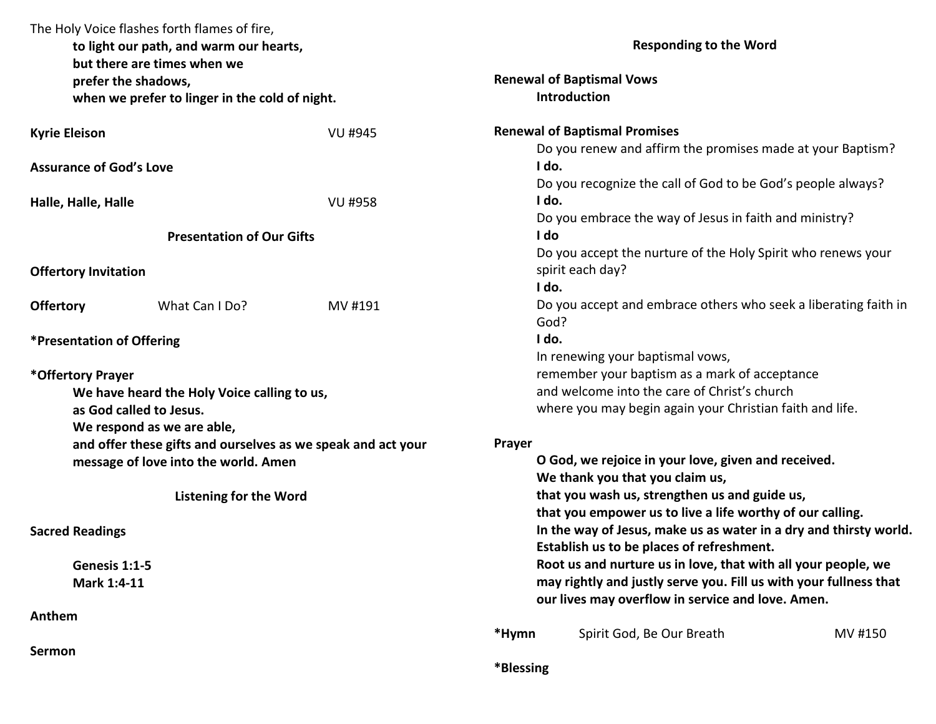|                             | The Holy Voice flashes forth flames of fire,<br>to light our path, and warm our hearts,<br>but there are times when we |                |                                                                                  | <b>Responding to the Word</b>                                                                                          |         |  |
|-----------------------------|------------------------------------------------------------------------------------------------------------------------|----------------|----------------------------------------------------------------------------------|------------------------------------------------------------------------------------------------------------------------|---------|--|
|                             | prefer the shadows,                                                                                                    |                |                                                                                  | <b>Renewal of Baptismal Vows</b>                                                                                       |         |  |
|                             | when we prefer to linger in the cold of night.                                                                         |                |                                                                                  | <b>Introduction</b>                                                                                                    |         |  |
| <b>Kyrie Eleison</b>        |                                                                                                                        | <b>VU #945</b> |                                                                                  | <b>Renewal of Baptismal Promises</b>                                                                                   |         |  |
|                             |                                                                                                                        |                |                                                                                  | Do you renew and affirm the promises made at your Baptism?                                                             |         |  |
|                             | <b>Assurance of God's Love</b>                                                                                         |                | I do.                                                                            |                                                                                                                        |         |  |
|                             |                                                                                                                        |                |                                                                                  | Do you recognize the call of God to be God's people always?                                                            |         |  |
| Halle, Halle, Halle         |                                                                                                                        | <b>VU #958</b> | I do.                                                                            |                                                                                                                        |         |  |
|                             |                                                                                                                        |                |                                                                                  | Do you embrace the way of Jesus in faith and ministry?                                                                 |         |  |
|                             | <b>Presentation of Our Gifts</b>                                                                                       |                | I do                                                                             |                                                                                                                        |         |  |
| <b>Offertory Invitation</b> |                                                                                                                        |                | Do you accept the nurture of the Holy Spirit who renews your<br>spirit each day? |                                                                                                                        |         |  |
|                             |                                                                                                                        |                | I do.                                                                            |                                                                                                                        |         |  |
| <b>Offertory</b>            | What Can I Do?                                                                                                         | MV #191        | God?                                                                             | Do you accept and embrace others who seek a liberating faith in                                                        |         |  |
|                             | *Presentation of Offering                                                                                              |                | I do.                                                                            |                                                                                                                        |         |  |
|                             |                                                                                                                        |                |                                                                                  | In renewing your baptismal vows,                                                                                       |         |  |
| *Offertory Prayer           |                                                                                                                        |                | remember your baptism as a mark of acceptance                                    |                                                                                                                        |         |  |
|                             | We have heard the Holy Voice calling to us,                                                                            |                | and welcome into the care of Christ's church                                     |                                                                                                                        |         |  |
|                             | as God called to Jesus.                                                                                                |                | where you may begin again your Christian faith and life.                         |                                                                                                                        |         |  |
|                             | We respond as we are able,                                                                                             |                |                                                                                  |                                                                                                                        |         |  |
|                             | and offer these gifts and ourselves as we speak and act your                                                           |                | <b>Prayer</b>                                                                    |                                                                                                                        |         |  |
|                             | message of love into the world. Amen                                                                                   |                |                                                                                  | O God, we rejoice in your love, given and received.                                                                    |         |  |
|                             |                                                                                                                        |                |                                                                                  | We thank you that you claim us,                                                                                        |         |  |
|                             | <b>Listening for the Word</b>                                                                                          |                | that you wash us, strengthen us and guide us,                                    |                                                                                                                        |         |  |
|                             |                                                                                                                        |                |                                                                                  | that you empower us to live a life worthy of our calling.                                                              |         |  |
| <b>Sacred Readings</b>      |                                                                                                                        |                | In the way of Jesus, make us as water in a dry and thirsty world.                |                                                                                                                        |         |  |
|                             |                                                                                                                        |                |                                                                                  | Establish us to be places of refreshment.                                                                              |         |  |
|                             | Genesis 1:1-5                                                                                                          |                |                                                                                  | Root us and nurture us in love, that with all your people, we                                                          |         |  |
|                             | Mark 1:4-11                                                                                                            |                |                                                                                  | may rightly and justly serve you. Fill us with your fullness that<br>our lives may overflow in service and love. Amen. |         |  |
| Anthem                      |                                                                                                                        |                |                                                                                  |                                                                                                                        |         |  |
|                             |                                                                                                                        |                | *Hymn                                                                            | Spirit God, Be Our Breath                                                                                              | MV #150 |  |
| Sermon                      |                                                                                                                        |                |                                                                                  |                                                                                                                        |         |  |
|                             |                                                                                                                        |                | *Blessing                                                                        |                                                                                                                        |         |  |